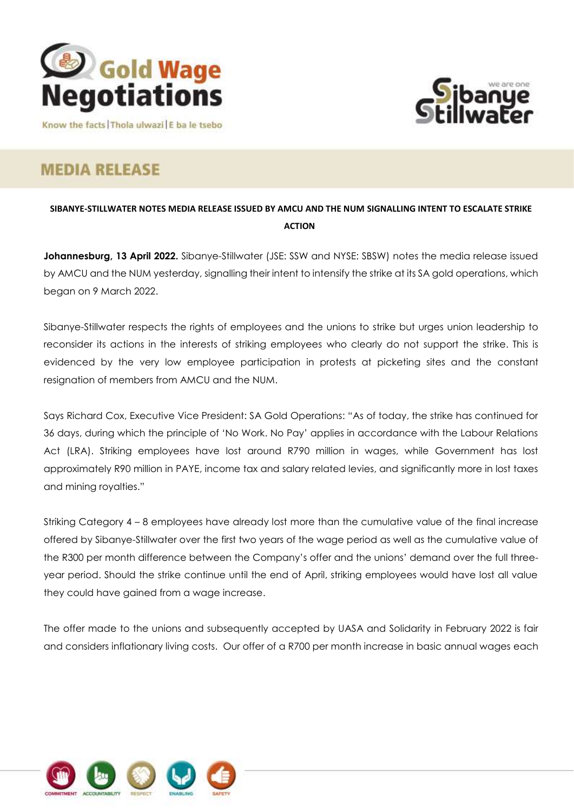



Know the facts Thola ulwazi E ba le tsebo

## **MEDIA RELEASE**

**SIBANYE-STILLWATER NOTES MEDIA RELEASE ISSUED BY AMCU AND THE NUM SIGNALLING INTENT TO ESCALATE STRIKE ACTION**

**Johannesburg, 13 April 2022.** Sibanye-Stillwater (JSE: SSW and NYSE: SBSW) notes the media release issued by AMCU and the NUM yesterday, signalling their intent to intensify the strike at its SA gold operations, which began on 9 March 2022.

Sibanye-Stillwater respects the rights of employees and the unions to strike but urges union leadership to reconsider its actions in the interests of striking employees who clearly do not support the strike. This is evidenced by the very low employee participation in protests at picketing sites and the constant resignation of members from AMCU and the NUM.

Says Richard Cox, Executive Vice President: SA Gold Operations: "As of today, the strike has continued for 36 days, during which the principle of 'No Work. No Pay' applies in accordance with the Labour Relations Act (LRA). Striking employees have lost around R790 million in wages, while Government has lost approximately R90 million in PAYE, income tax and salary related levies, and significantly more in lost taxes and mining royalties."

Striking Category 4 – 8 employees have already lost more than the cumulative value of the final increase offered by Sibanye-Stillwater over the first two years of the wage period as well as the cumulative value of the R300 per month difference between the Company's offer and the unions' demand over the full threeyear period. Should the strike continue until the end of April, striking employees would have lost all value they could have gained from a wage increase.

The offer made to the unions and subsequently accepted by UASA and Solidarity in February 2022 is fair and considers inflationary living costs. Our offer of a R700 per month increase in basic annual wages each